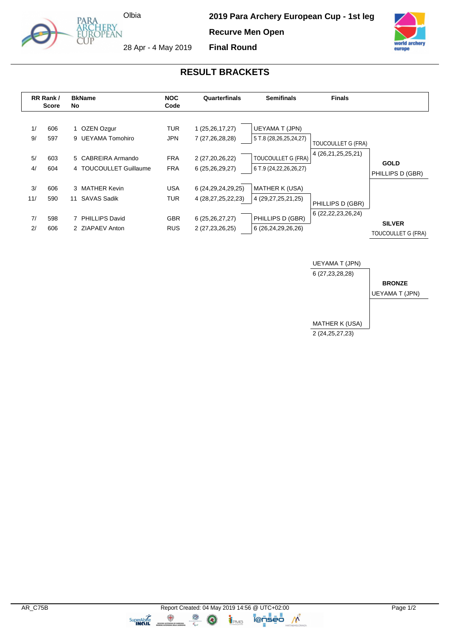

**2019 Para Archery European Cup - 1st leg** 

**Recurve Men Open**



28 Apr - 4 May 2019

Olbia

**RESULT BRACKETS**

**Final Round**